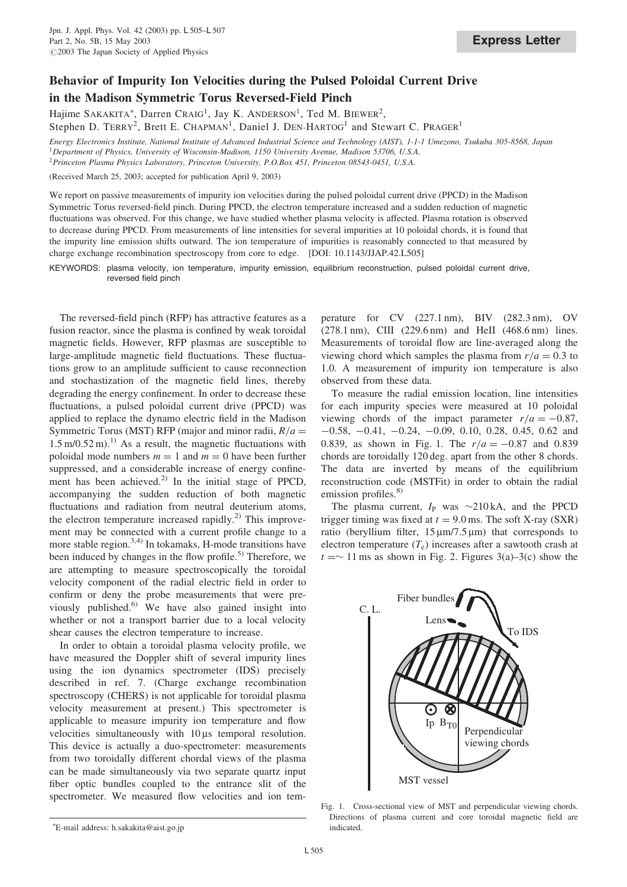## Behavior of Impurity Ion Velocities during the Pulsed Poloidal Current Drive in the Madison Symmetric Torus Reversed-Field Pinch

Hajime SAKAKITA\*, Darren CRAIG<sup>1</sup>, Jay K. ANDERSON<sup>1</sup>, Ted M. BIEWER<sup>2</sup>, Stephen D. TERRY<sup>2</sup>, Brett E. CHAPMAN<sup>1</sup>, Daniel J. DEN-HARTOG<sup>1</sup> and Stewart C. PRAGER<sup>1</sup>

Energy Electronics Institute, National Institute of Advanced Industrial Science and Technology (AIST), 1-1-1 Umezono, Tsukuba 305-8568, Japan <sup>1</sup>Department of Physics, University of Wisconsin-Madison, 1150 University Avenue, Madison 53706, U.S.A.

<sup>2</sup>Princeton Plasma Physics Laboratory, Princeton University, P.O.Box 451, Princeton 08543-0451, U.S.A.

(Received March 25, 2003; accepted for publication April 9, 2003)

We report on passive measurements of impurity ion velocities during the pulsed poloidal current drive (PPCD) in the Madison Symmetric Torus reversed-field pinch. During PPCD, the electron temperature increased and a sudden reduction of magnetic fluctuations was observed. For this change, we have studied whether plasma velocity is affected. Plasma rotation is observed to decrease during PPCD. From measurements of line intensities for several impurities at 10 poloidal chords, it is found that the impurity line emission shifts outward. The ion temperature of impurities is reasonably connected to that measured by charge exchange recombination spectroscopy from core to edge. [DOI: 10.1143/JJAP.42.L505]

KEYWORDS: plasma velocity, ion temperature, impurity emission, equilibrium reconstruction, pulsed poloidal current drive, reversed field pinch

The reversed-field pinch (RFP) has attractive features as a fusion reactor, since the plasma is confined by weak toroidal magnetic fields. However, RFP plasmas are susceptible to large-amplitude magnetic field fluctuations. These fluctuations grow to an amplitude sufficient to cause reconnection and stochastization of the magnetic field lines, thereby degrading the energy confinement. In order to decrease these fluctuations, a pulsed poloidal current drive (PPCD) was applied to replace the dynamo electric field in the Madison Symmetric Torus (MST) RFP (major and minor radii,  $R/a =$  $1.5 \text{ m}/0.52 \text{ m}$ .<sup>1)</sup> As a result, the magnetic fluctuations with poloidal mode numbers  $m = 1$  and  $m = 0$  have been further suppressed, and a considerable increase of energy confinement has been achieved.<sup>2)</sup> In the initial stage of PPCD, accompanying the sudden reduction of both magnetic fluctuations and radiation from neutral deuterium atoms, the electron temperature increased rapidly.<sup>2)</sup> This improvement may be connected with a current profile change to a more stable region.<sup>3,4)</sup> In tokamaks, H-mode transitions have been induced by changes in the flow profile.<sup>5)</sup> Therefore, we are attempting to measure spectroscopically the toroidal velocity component of the radial electric field in order to confirm or deny the probe measurements that were previously published. $6$ <sup>t</sup> We have also gained insight into whether or not a transport barrier due to a local velocity shear causes the electron temperature to increase.

In order to obtain a toroidal plasma velocity profile, we have measured the Doppler shift of several impurity lines using the ion dynamics spectrometer (IDS) precisely described in ref. 7. (Charge exchange recombination spectroscopy (CHERS) is not applicable for toroidal plasma velocity measurement at present.) This spectrometer is applicable to measure impurity ion temperature and flow velocities simultaneously with  $10 \mu s$  temporal resolution. This device is actually a duo-spectrometer: measurements from two toroidally different chordal views of the plasma can be made simultaneously via two separate quartz input fiber optic bundles coupled to the entrance slit of the spectrometer. We measured flow velocities and ion tem-

perature for CV (227.1 nm), BIV (282.3 nm), OV (278.1 nm), CIII (229.6 nm) and HeII (468.6 nm) lines. Measurements of toroidal flow are line-averaged along the viewing chord which samples the plasma from  $r/a = 0.3$  to 1.0. A measurement of impurity ion temperature is also observed from these data.

To measure the radial emission location, line intensities for each impurity species were measured at 10 poloidal viewing chords of the impact parameter  $r/a = -0.87$ ,  $-0.58, -0.41, -0.24, -0.09, 0.10, 0.28, 0.45, 0.62$  and 0.839, as shown in Fig. 1. The  $r/a = -0.87$  and 0.839 chords are toroidally 120 deg. apart from the other 8 chords. The data are inverted by means of the equilibrium reconstruction code (MSTFit) in order to obtain the radial emission profiles.<sup>8)</sup>

The plasma current,  $I_P$  was  $\sim$ 210 kA, and the PPCD trigger timing was fixed at  $t = 9.0$  ms. The soft X-ray (SXR) ratio (beryllium filter,  $15 \mu m/7.5 \mu m$ ) that corresponds to electron temperature  $(T_e)$  increases after a sawtooth crash at  $t = \sim 11$  ms as shown in Fig. 2. Figures 3(a)–3(c) show the



Fig. 1. Cross-sectional view of MST and perpendicular viewing chords. Directions of plasma current and core toroidal magnetic field are

indicated. E-mail address: h.sakakita@aist.go.jp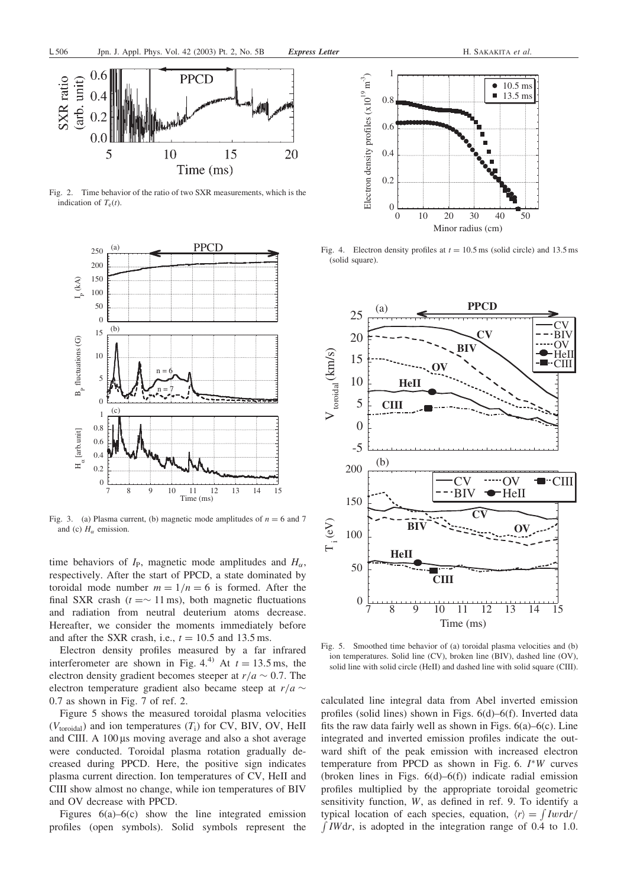

Fig. 2. Time behavior of the ratio of two SXR measurements, which is the indication of  $T_e(t)$ .



Fig. 3. (a) Plasma current, (b) magnetic mode amplitudes of  $n = 6$  and 7 and (c)  $H_{\alpha}$  emission.

time behaviors of  $I_P$ , magnetic mode amplitudes and  $H_\alpha$ , respectively. After the start of PPCD, a state dominated by toroidal mode number  $m = 1/n = 6$  is formed. After the final SXR crash ( $t = \sim 11$  ms), both magnetic fluctuations and radiation from neutral deuterium atoms decrease. Hereafter, we consider the moments immediately before and after the SXR crash, i.e.,  $t = 10.5$  and 13.5 ms.

Electron density profiles measured by a far infrared interferometer are shown in Fig. 4.<sup>4)</sup> At  $t = 13.5$  ms, the electron density gradient becomes steeper at  $r/a \sim 0.7$ . The electron temperature gradient also became steep at  $r/a \sim$ 0:7 as shown in Fig. 7 of ref. 2.

Figure 5 shows the measured toroidal plasma velocities  $(V_{\text{toroidal}})$  and ion temperatures  $(T_i)$  for CV, BIV, OV, HeII and CIII. A 100 µs moving average and also a shot average were conducted. Toroidal plasma rotation gradually decreased during PPCD. Here, the positive sign indicates plasma current direction. Ion temperatures of CV, HeII and CIII show almost no change, while ion temperatures of BIV and OV decrease with PPCD.

Figures  $6(a)$ – $6(c)$  show the line integrated emission profiles (open symbols). Solid symbols represent the



Fig. 4. Electron density profiles at  $t = 10.5$  ms (solid circle) and 13.5 ms (solid square).



Fig. 5. Smoothed time behavior of (a) toroidal plasma velocities and (b) ion temperatures. Solid line (CV), broken line (BIV), dashed line (OV), solid line with solid circle (HeII) and dashed line with solid square (CIII).

calculated line integral data from Abel inverted emission profiles (solid lines) shown in Figs. 6(d)–6(f). Inverted data fits the raw data fairly well as shown in Figs.  $6(a)$ – $6(c)$ . Line integrated and inverted emission profiles indicate the outward shift of the peak emission with increased electron temperature from PPCD as shown in Fig. 6.  $I^*W$  curves (broken lines in Figs.  $6(d)–6(f)$ ) indicate radial emission profiles multiplied by the appropriate toroidal geometric sensitivity function, W, as defined in ref. 9. To identify a typical location of each species, equation,  $\langle r \rangle = \int I w r dr /$ f *IWdr*, is adopted in the integration range of 0.4 to 1.0.